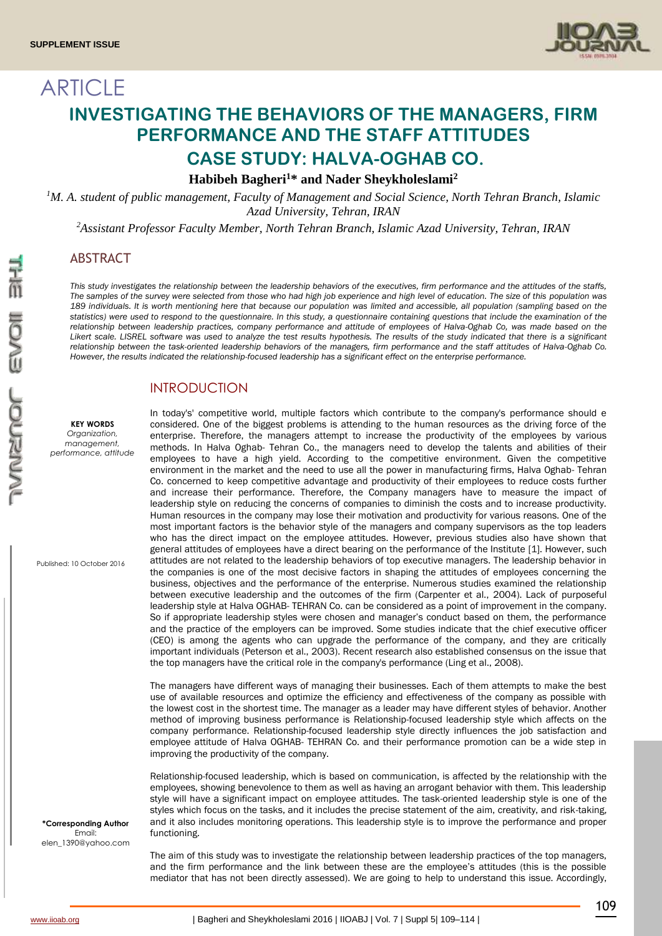

# ARTICLE **INVESTIGATING THE BEHAVIORS OF THE MANAGERS, FIRM PERFORMANCE AND THE STAFF ATTITUDES CASE STUDY: HALVA-OGHAB CO.**

**Habibeh Bagheri<sup>1</sup>\* and Nader Sheykholeslami<sup>2</sup>**

*<sup>1</sup>M. A. student of public management, Faculty of Management and Social Science, North Tehran Branch, Islamic Azad University, Tehran, IRAN*

*<sup>2</sup>Assistant Professor Faculty Member, North Tehran Branch, Islamic Azad University, Tehran, IRAN*

## ABSTRACT

*This study investigates the relationship between the leadership behaviors of the executives, firm performance and the attitudes of the staffs, The samples of the survey were selected from those who had high job experience and high level of education. The size of this population was 189 individuals. It is worth mentioning here that because our population was limited and accessible, all population (sampling based on the statistics) were used to respond to the questionnaire. In this study, a questionnaire containing questions that include the examination of the relationship between leadership practices, company performance and attitude of employees of Halva-Oghab Co, was made based on the Likert scale. LISREL software was used to analyze the test results hypothesis. The results of the study indicated that there is a significant relationship between the task-oriented leadership behaviors of the managers, firm performance and the staff attitudes of Halva-Oghab Co. However, the results indicated the relationship-focused leadership has a significant effect on the enterprise performance.*

## INTRODUCTION

**KEY WORDS** *Organization, management, performance, attitude*

Published: 10 October 2016

**\*Corresponding Author** Email: elen\_1390@yahoo.com In today's' competitive world, multiple factors which contribute to the company's performance should e considered. One of the biggest problems is attending to the human resources as the driving force of the enterprise. Therefore, the managers attempt to increase the productivity of the employees by various methods. In Halva Oghab- Tehran Co., the managers need to develop the talents and abilities of their employees to have a high yield. According to the competitive environment. Given the competitive environment in the market and the need to use all the power in manufacturing firms, Halva Oghab- Tehran Co. concerned to keep competitive advantage and productivity of their employees to reduce costs further and increase their performance. Therefore, the Company managers have to measure the impact of leadership style on reducing the concerns of companies to diminish the costs and to increase productivity. Human resources in the company may lose their motivation and productivity for various reasons. One of the most important factors is the behavior style of the managers and company supervisors as the top leaders who has the direct impact on the employee attitudes. However, previous studies also have shown that general attitudes of employees have a direct bearing on the performance of the Institute [1]. However, such attitudes are not related to the leadership behaviors of top executive managers. The leadership behavior in the companies is one of the most decisive factors in shaping the attitudes of employees concerning the business, objectives and the performance of the enterprise. Numerous studies examined the relationship between executive leadership and the outcomes of the firm (Carpenter et al., 2004). Lack of purposeful leadership style at Halva OGHAB- TEHRAN Co. can be considered as a point of improvement in the company. So if appropriate leadership styles were chosen and manager's conduct based on them, the performance and the practice of the employers can be improved. Some studies indicate that the chief executive officer (CEO) is among the agents who can upgrade the performance of the company, and they are critically important individuals (Peterson et al., 2003). Recent research also established consensus on the issue that the top managers have the critical role in the company's performance (Ling et al., 2008).

The managers have different ways of managing their businesses. Each of them attempts to make the best use of available resources and optimize the efficiency and effectiveness of the company as possible with the lowest cost in the shortest time. The manager as a leader may have different styles of behavior. Another method of improving business performance is Relationship-focused leadership style which affects on the company performance. Relationship-focused leadership style directly influences the job satisfaction and employee attitude of Halva OGHAB- TEHRAN Co. and their performance promotion can be a wide step in improving the productivity of the company.

Relationship-focused leadership, which is based on communication, is affected by the relationship with the employees, showing benevolence to them as well as having an arrogant behavior with them. This leadership style will have a significant impact on employee attitudes. The task-oriented leadership style is one of the styles which focus on the tasks, and it includes the precise statement of the aim, creativity, and risk-taking, and it also includes monitoring operations. This leadership style is to improve the performance and proper functioning.

The aim of this study was to investigate the relationship between leadership practices of the top managers, and the firm performance and the link between these are the employee's attitudes (this is the possible mediator that has not been directly assessed). We are going to help to understand this issue. Accordingly,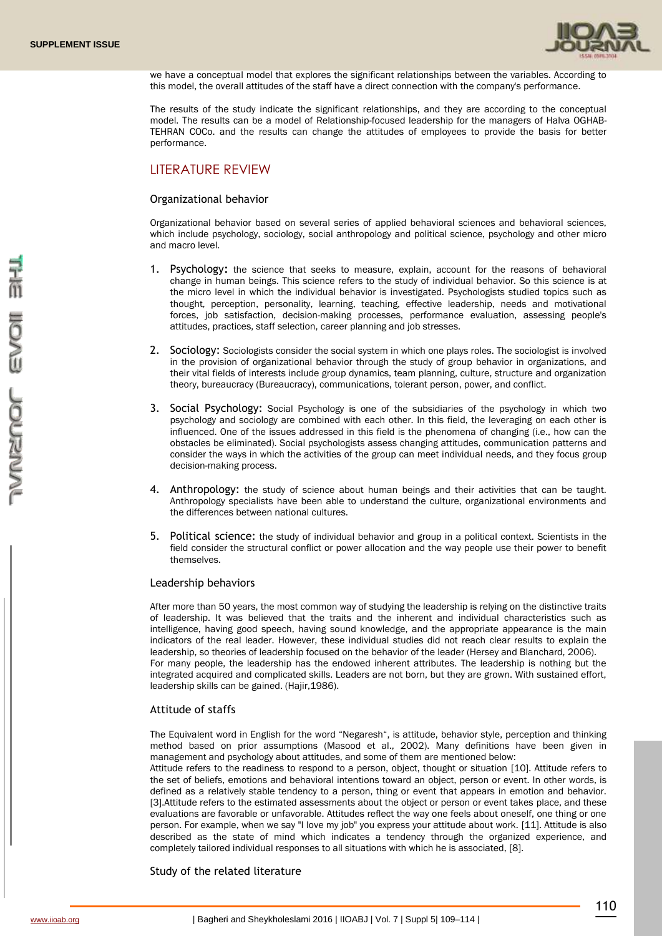

we have a conceptual model that explores the significant relationships between the variables. According to this model, the overall attitudes of the staff have a direct connection with the company's performance.

The results of the study indicate the significant relationships, and they are according to the conceptual model. The results can be a model of Relationship-focused leadership for the managers of Halva OGHAB-TEHRAN COCo. and the results can change the attitudes of employees to provide the basis for better performance.

# LITERATURE REVIEW

#### Organizational behavior

Organizational behavior based on several series of applied behavioral sciences and behavioral sciences, which include psychology, sociology, social anthropology and political science, psychology and other micro and macro level.

- 1. Psychology**:** the science that seeks to measure, explain, account for the reasons of behavioral change in human beings. This science refers to the study of individual behavior. So this science is at the micro level in which the individual behavior is investigated. Psychologists studied topics such as thought, perception, personality, learning, teaching, effective leadership, needs and motivational forces, job satisfaction, decision-making processes, performance evaluation, assessing people's attitudes, practices, staff selection, career planning and job stresses.
- 2. Sociology: Sociologists consider the social system in which one plays roles. The sociologist is involved in the provision of organizational behavior through the study of group behavior in organizations, and their vital fields of interests include group dynamics, team planning, culture, structure and organization theory, bureaucracy (Bureaucracy), communications, tolerant person, power, and conflict.
- 3. Social Psychology: Social Psychology is one of the subsidiaries of the psychology in which two psychology and sociology are combined with each other. In this field, the leveraging on each other is influenced. One of the issues addressed in this field is the phenomena of changing (i.e., how can the obstacles be eliminated). Social psychologists assess changing attitudes, communication patterns and consider the ways in which the activities of the group can meet individual needs, and they focus group decision-making process.
- 4. Anthropology: the study of science about human beings and their activities that can be taught. Anthropology specialists have been able to understand the culture, organizational environments and the differences between national cultures.
- 5. Political science: the study of individual behavior and group in a political context. Scientists in the field consider the structural conflict or power allocation and the way people use their power to benefit themselves.

#### Leadership behaviors

After more than 50 years, the most common way of studying the leadership is relying on the distinctive traits of leadership. It was believed that the traits and the inherent and individual characteristics such as intelligence, having good speech, having sound knowledge, and the appropriate appearance is the main indicators of the real leader. However, these individual studies did not reach clear results to explain the leadership, so theories of leadership focused on the behavior of the leader (Hersey and Blanchard, 2006). For many people, the leadership has the endowed inherent attributes. The leadership is nothing but the integrated acquired and complicated skills. Leaders are not born, but they are grown. With sustained effort, leadership skills can be gained. (Hajir,1986).

#### Attitude of staffs

The Equivalent word in English for the word "Negaresh", is attitude, behavior style, perception and thinking method based on prior assumptions (Masood et al., 2002). Many definitions have been given in management and psychology about attitudes, and some of them are mentioned below:

Attitude refers to the readiness to respond to a person, object, thought or situation [10]. Attitude refers to the set of beliefs, emotions and behavioral intentions toward an object, person or event. In other words, is defined as a relatively stable tendency to a person, thing or event that appears in emotion and behavior. [3].Attitude refers to the estimated assessments about the object or person or event takes place, and these evaluations are favorable or unfavorable. Attitudes reflect the way one feels about oneself, one thing or one person. For example, when we say "I love my job" you express your attitude about work. [11]. Attitude is also described as the state of mind which indicates a tendency through the organized experience, and completely tailored individual responses to all situations with which he is associated, [8].

#### Study of the related literature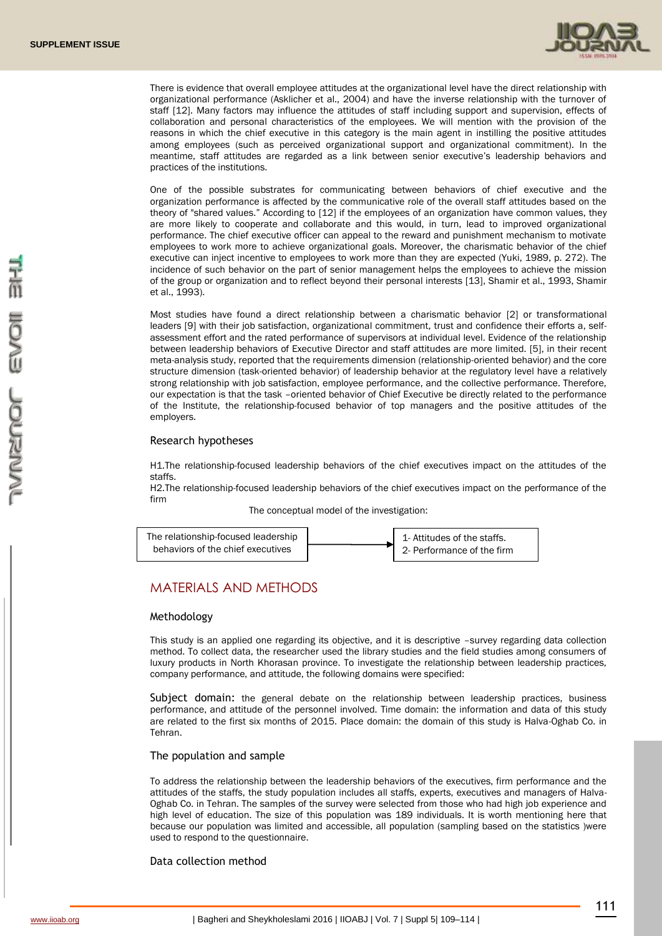

There is evidence that overall employee attitudes at the organizational level have the direct relationship with organizational performance (Asklicher et al., 2004) and have the inverse relationship with the turnover of staff [12]. Many factors may influence the attitudes of staff including support and supervision, effects of collaboration and personal characteristics of the employees. We will mention with the provision of the reasons in which the chief executive in this category is the main agent in instilling the positive attitudes among employees (such as perceived organizational support and organizational commitment). In the meantime, staff attitudes are regarded as a link between senior executive's leadership behaviors and practices of the institutions.

One of the possible substrates for communicating between behaviors of chief executive and the organization performance is affected by the communicative role of the overall staff attitudes based on the theory of "shared values." According to [12] if the employees of an organization have common values, they are more likely to cooperate and collaborate and this would, in turn, lead to improved organizational performance. The chief executive officer can appeal to the reward and punishment mechanism to motivate employees to work more to achieve organizational goals. Moreover, the charismatic behavior of the chief executive can inject incentive to employees to work more than they are expected (Yuki, 1989, p. 272). The incidence of such behavior on the part of senior management helps the employees to achieve the mission of the group or organization and to reflect beyond their personal interests [13], Shamir et al., 1993, Shamir et al., 1993).

Most studies have found a direct relationship between a charismatic behavior [2] or transformational leaders [9] with their job satisfaction, organizational commitment, trust and confidence their efforts a, selfassessment effort and the rated performance of supervisors at individual level. Evidence of the relationship between leadership behaviors of Executive Director and staff attitudes are more limited. [5], in their recent meta-analysis study, reported that the requirements dimension (relationship-oriented behavior) and the core structure dimension (task-oriented behavior) of leadership behavior at the regulatory level have a relatively strong relationship with job satisfaction, employee performance, and the collective performance. Therefore, our expectation is that the task –oriented behavior of Chief Executive be directly related to the performance of the Institute, the relationship-focused behavior of top managers and the positive attitudes of the employers.

#### Research hypotheses

H1.The relationship-focused leadership behaviors of the chief executives impact on the attitudes of the staffs.

H2.The relationship-focused leadership behaviors of the chief executives impact on the performance of the firm

The conceptual model of the investigation:



# MATERIALS AND METHODS

#### Methodology

This study is an applied one regarding its objective, and it is descriptive –survey regarding data collection method. To collect data, the researcher used the library studies and the field studies among consumers of luxury products in North Khorasan province. To investigate the relationship between leadership practices, company performance, and attitude, the following domains were specified:

Subject domain: the general debate on the relationship between leadership practices, business performance, and attitude of the personnel involved. Time domain: the information and data of this study are related to the first six months of 2015. Place domain: the domain of this study is Halva-Oghab Co. in Tehran.

#### The population and sample

To address the relationship between the leadership behaviors of the executives, firm performance and the attitudes of the staffs, the study population includes all staffs, experts, executives and managers of Halva-Oghab Co. in Tehran. The samples of the survey were selected from those who had high job experience and high level of education. The size of this population was 189 individuals. It is worth mentioning here that because our population was limited and accessible, all population (sampling based on the statistics )were used to respond to the questionnaire.

#### Data collection method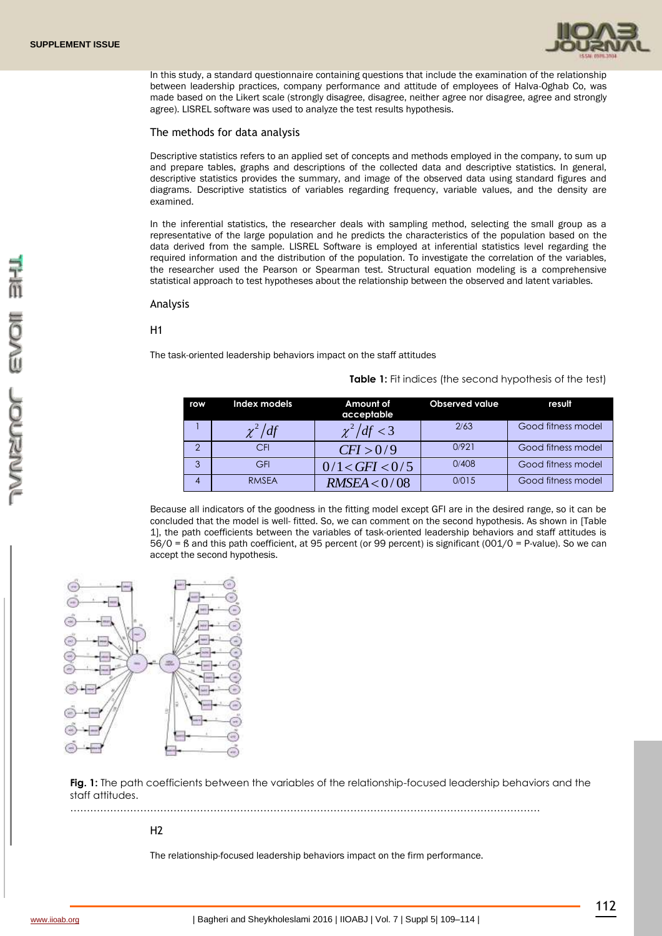

In this study, a standard questionnaire containing questions that include the examination of the relationship between leadership practices, company performance and attitude of employees of Halva-Oghab Co, was made based on the Likert scale (strongly disagree, disagree, neither agree nor disagree, agree and strongly agree). LISREL software was used to analyze the test results hypothesis.

#### The methods for data analysis

Descriptive statistics refers to an applied set of concepts and methods employed in the company, to sum up and prepare tables, graphs and descriptions of the collected data and descriptive statistics. In general, descriptive statistics provides the summary, and image of the observed data using standard figures and diagrams. Descriptive statistics of variables regarding frequency, variable values, and the density are examined.

In the inferential statistics, the researcher deals with sampling method, selecting the small group as a representative of the large population and he predicts the characteristics of the population based on the data derived from the sample. LISREL Software is employed at inferential statistics level regarding the required information and the distribution of the population. To investigate the correlation of the variables, the researcher used the Pearson or Spearman test. Structural equation modeling is a comprehensive statistical approach to test hypotheses about the relationship between the observed and latent variables.

#### Analysis

#### H1

The task-oriented leadership behaviors impact on the staff attitudes

**Table 1:** Fit indices (the second hypothesis of the test)

| row | Index models | Amount of<br>acceptable | <b>Observed value</b> | result             |
|-----|--------------|-------------------------|-----------------------|--------------------|
|     | $\chi^2/df$  | $\chi^2/df < 3$         | 2/63                  | Good fitness model |
| C   | CFI          | CFI > 0/9               | 0/921                 | Good fitness model |
| 3   | GFI          | 0/1 < GFI < 0/5         | 0/408                 | Good fitness model |
|     | <b>RMSEA</b> | RMSEA < 0/08            | 0/015                 | Good fitness model |

Because all indicators of the goodness in the fitting model except GFI are in the desired range, so it can be concluded that the model is well- fitted. So, we can comment on the second hypothesis. As shown in [Table 1], the path coefficients between the variables of task-oriented leadership behaviors and staff attitudes is 56/0 = ß and this path coefficient, at 95 percent (or 99 percent) is significant (001/0 = P-value). So we can accept the second hypothesis.



**Fig. 1:** The path coefficients between the variables of the relationship-focused leadership behaviors and the staff attitudes.

……………………………………………………………………………………………………………………………

### $H<sub>2</sub>$

The relationship-focused leadership behaviors impact on the firm performance.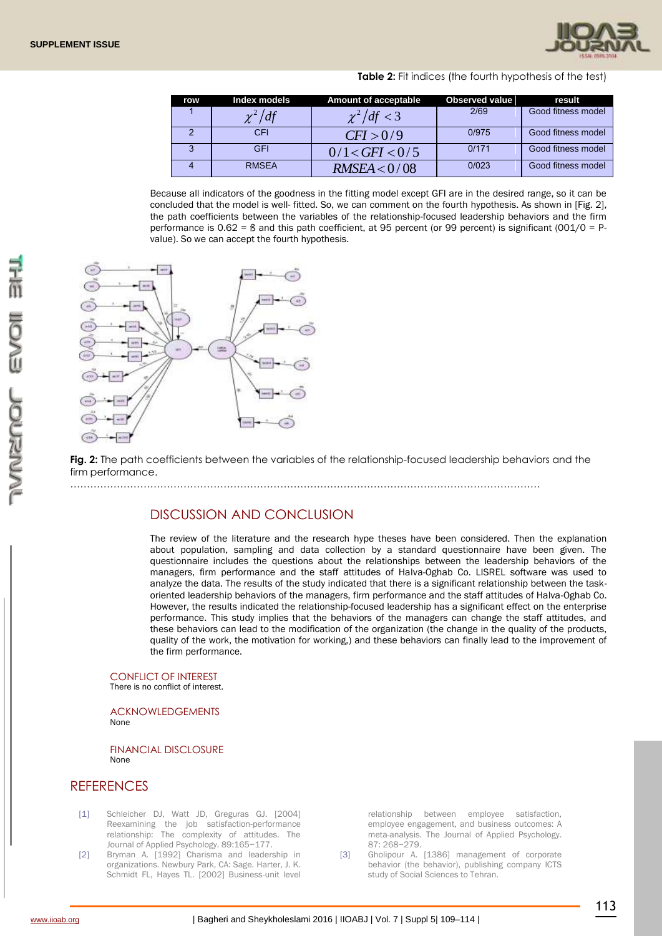

| row | Index models | <b>Amount of acceptable</b> | <b>Observed value</b> | result             |
|-----|--------------|-----------------------------|-----------------------|--------------------|
|     | $\chi^2/df$  | $\chi^2/df < 3$             | 2/69                  | Good fitness model |
|     | CFI          | CFI > 0/9                   | 0/975                 | Good fitness model |
| 3   | <b>GFI</b>   | 0/1 < GFI < 0/5             | 0/171                 | Good fitness model |
|     | <b>RMSEA</b> | RMSEA < 0/08                | 0/023                 | Good fitness model |

**Table 2:** Fit indices (the fourth hypothesis of the test)

Because all indicators of the goodness in the fitting model except GFI are in the desired range, so it can be concluded that the model is well- fitted. So, we can comment on the fourth hypothesis. As shown in [Fig. 2], the path coefficients between the variables of the relationship-focused leadership behaviors and the firm performance is  $0.62 = 6$  and this path coefficient, at 95 percent (or 99 percent) is significant (001/0 = Pvalue). So we can accept the fourth hypothesis.



**Fig. 2:** The path coefficients between the variables of the relationship-focused leadership behaviors and the firm performance.

……………………………………………………………………………………………………………………………

## DISCUSSION AND CONCLUSION

The review of the literature and the research hype theses have been considered. Then the explanation about population, sampling and data collection by a standard questionnaire have been given. The questionnaire includes the questions about the relationships between the leadership behaviors of the managers, firm performance and the staff attitudes of Halva-Oghab Co. LISREL software was used to analyze the data. The results of the study indicated that there is a significant relationship between the taskoriented leadership behaviors of the managers, firm performance and the staff attitudes of Halva-Oghab Co. However, the results indicated the relationship-focused leadership has a significant effect on the enterprise performance. This study implies that the behaviors of the managers can change the staff attitudes, and these behaviors can lead to the modification of the organization (the change in the quality of the products, quality of the work, the motivation for working,) and these behaviors can finally lead to the improvement of the firm performance.

#### CONFLICT OF INTEREST

There is no conflict of interest.

ACKNOWLEDGEMENTS None

FINANCIAL DISCLOSURE None

## **REFERENCES**

- [1] Schleicher DJ, Watt JD, Greguras GJ. [2004] Reexamining the job satisfaction-performance relationship: The complexity of attitudes. The Journal of Applied Psychology. 89:165−177.
- [2] Bryman A. [1992] Charisma and leadership in organizations. Newbury Park, CA: Sage. Harter, J. K. Schmidt FL, Hayes TL. [2002] Business-unit level

relationship between employee satisfaction, employee engagement, and business outcomes: A meta-analysis. The Journal of Applied Psychology. 87: 268−279.

[3] Gholipour A. [1386] management of corporate behavior (the behavior), publishing company ICTS study of Social Sciences to Tehran.